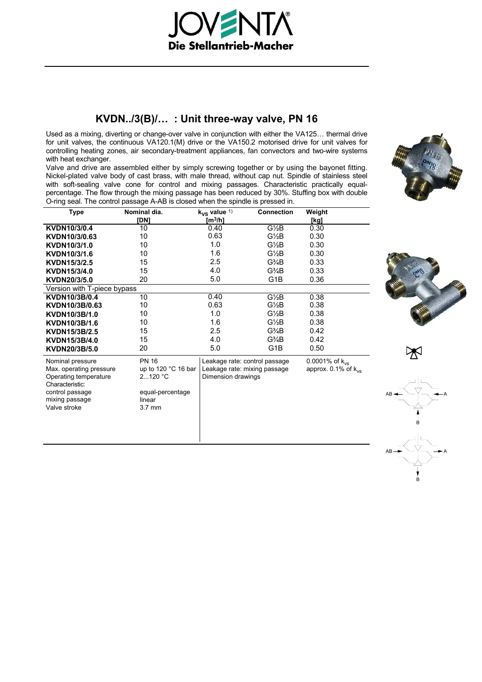

# **KVDN../3(B)/… : Unit three-way valve, PN 16**

Used as a mixing, diverting or change-over valve in conjunction with either the VA125… thermal drive for unit valves, the continuous VA120.1(M) drive or the VA150.2 motorised drive for unit valves for controlling heating zones, air secondary-treatment appliances, fan convectors and two-wire systems with heat exchanger.

Valve and drive are assembled either by simply screwing together or by using the bayonet fitting. Nickel-plated valve body of cast brass, with male thread, without cap nut. Spindle of stainless steel with soft-sealing valve cone for control and mixing passages. Characteristic practically equalpercentage. The flow through the mixing passage has been reduced by 30%. Stuffing box with double O-ring seal. The control passage A-AB is closed when the spindle is pressed in.







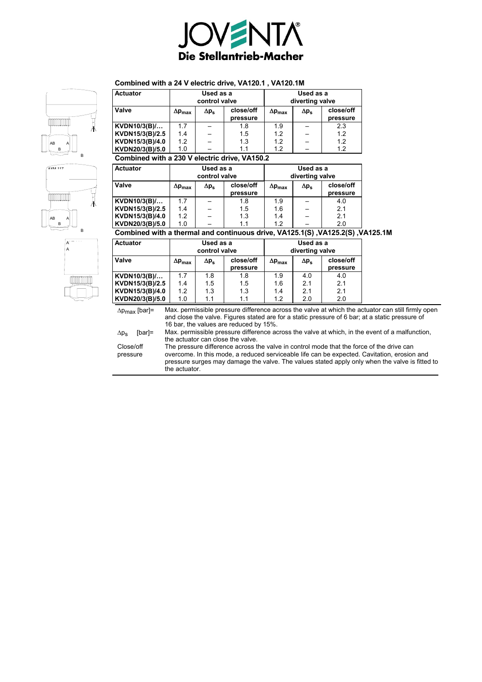

# **Combined with a 24 V electric drive, VA120.1 , VA120.1M**





| <b>Actuator</b> | Used as a<br>control valve |                                       |     | Used as a<br>diverting valve |                |                       |
|-----------------|----------------------------|---------------------------------------|-----|------------------------------|----------------|-----------------------|
| Valve           | $\Delta p_{\text{max}}$    | close/off<br>$\Delta p_s$<br>pressure |     |                              | $\Delta p_{s}$ | close/off<br>pressure |
| KVDN10/3(B)/    | 1.7                        |                                       | 1.8 | 1.9                          |                | 2.3                   |
| KVDN15/3(B)/2.5 | 1.4                        |                                       | 1.5 | 1.2                          |                | 1.2                   |
| KVDN15/3(B)/4.0 | 1.2                        |                                       | 1.3 | 1.2                          |                | 1.2                   |
| KVDN20/3(B)/5.0 | 1.0                        |                                       | 1.1 | 1.2                          |                | 1.2                   |
| _______         |                            |                                       |     |                              |                |                       |

**Combined with a 230 V electric drive, VA150.2** 

| <b>Actuator</b>                                                                                            | Used as a<br>control valve |                                                                                 |     | Used as a<br>diverting valve |  |                       |  |  |
|------------------------------------------------------------------------------------------------------------|----------------------------|---------------------------------------------------------------------------------|-----|------------------------------|--|-----------------------|--|--|
| Valve                                                                                                      | $\Delta p_{\text{max}}$    | close/off<br>$\Delta p_{\rm max}$<br>$\Delta p_s$<br>$\Delta p_{s}$<br>pressure |     |                              |  | close/off<br>pressure |  |  |
| KVDN10/3(B)/                                                                                               | 1.7                        |                                                                                 | 1.8 | 1.9                          |  | 4.0                   |  |  |
| KVDN15/3(B)/2.5                                                                                            | 1.4                        |                                                                                 | 1.5 | 1.6                          |  | 2.1                   |  |  |
| KVDN15/3(B)/4.0                                                                                            | 1.2                        |                                                                                 | 1.3 | 1.4                          |  | 2.1                   |  |  |
| KVDN20/3(B)/5.0                                                                                            | 1.0                        |                                                                                 | 1.1 | 1.2                          |  | 2.0                   |  |  |
| $0.001$ and $1.001$ and $1.0001$ and $1.001$ and $1.0001$ and $1.0001$ and $1.001$ and $0.001$ and $0.001$ |                            |                                                                                 |     |                              |  |                       |  |  |

**Combined with a thermal and continuous drive, VA125.1(S) ,VA125.2(S) ,VA125.1M** 

| <b>Actuator</b> | Used as a<br>control valve         |                |                       | Used as a<br>diverting valve |              |                       |
|-----------------|------------------------------------|----------------|-----------------------|------------------------------|--------------|-----------------------|
| Valve           | $\Delta \mathsf{p}_{\mathsf{max}}$ | $\Delta p_{s}$ | close/off<br>pressure | $\Delta p_{max}$             | $\Delta p_s$ | close/off<br>pressure |
| KVDN10/3(B)/    | 1.7                                | 1.8            | 1.8                   | 1.9                          | 4.0          | 4.0                   |
| KVDN15/3(B)/2.5 | 1.4                                | 1.5            | 1.5                   | 1.6                          | 2.1          | 2.1                   |
| KVDN15/3(B)/4.0 | 1.2                                | 1.3            | 1.3                   | 1.4                          | 2.1          | 2.1                   |
| KVDN20/3(B)/5.0 | 1.0                                | 1.1            | 1.1                   | 1.2                          | 2.0          | 2.0                   |

∆p<sub>max</sub> [bar]= Max. permissible pressure difference across the valve at which the actuator can still firmly open and close the valve. Figures stated are for a static pressure of 6 bar; at a static pressure of 16 bar, the values are reduced by 15%.

 $\Delta p_s$  [bar]= Max. permissible pressure difference across the valve at which, in the event of a malfunction, the actuator can close the valve. Close/off The pressure difference across the valve in control mode that the force of the drive can

pressure

overcome. In this mode, a reduced serviceable life can be expected. Cavitation, erosion and pressure surges may damage the valve. The values stated apply only when the valve is fitted to the actuator.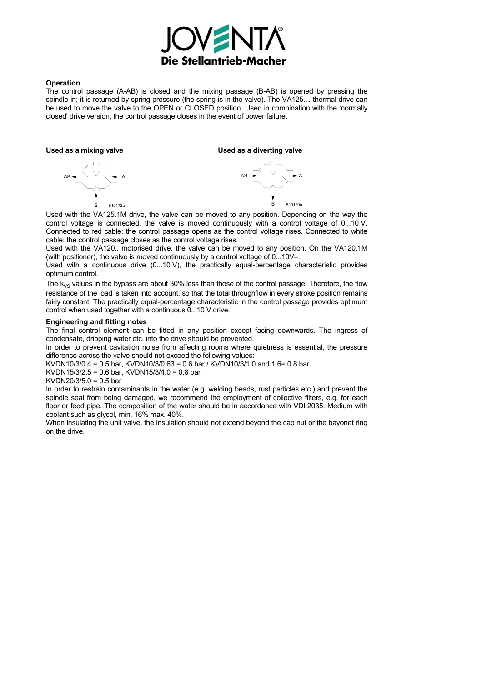

### **Operation**

The control passage (A-AB) is closed and the mixing passage (B-AB) is opened by pressing the spindle in; it is returned by spring pressure (the spring is in the valve). The VA125... thermal drive can be used to move the valve to the OPEN or CLOSED position. Used in combination with the 'normally closed' drive version, the control passage closes in the event of power failure.

AB $\longrightarrow$   $\uparrow$   $\rightarrow$   $\longrightarrow$  A B B10172a

Used as a mixing valve **Used as a diverting valve** 



Used with the VA125.1M drive, the valve can be moved to any position. Depending on the way the control voltage is connected, the valve is moved continuously with a control voltage of 0...10 V. Connected to red cable: the control passage opens as the control voltage rises. Connected to white cable: the control passage closes as the control voltage rises.

Used with the VA120.. motorised drive, the valve can be moved to any position. On the VA120.1M (with positioner), the valve is moved continuously by a control voltage of 0...10V–.

Used with a continuous drive (0...10 V), the practically equal-percentage characteristic provides optimum control.

The  $k_{\nu s}$  values in the bypass are about 30% less than those of the control passage. Therefore, the flow resistance of the load is taken into account, so that the total throughflow in every stroke position remains fairly constant. The practically equal-percentage characteristic in the control passage provides optimum control when used together with a continuous 0...10 V drive.

### **Engineering and fitting notes**

The final control element can be fitted in any position except facing downwards. The ingress of condensate, dripping water etc. into the drive should be prevented.

In order to prevent cavitation noise from affecting rooms where quietness is essential, the pressure difference across the valve should not exceed the following values:-

KVDN10/3/0.4 = 0.5 bar, KVDN10/3/0.63 = 0.6 bar / KVDN10/3/1.0 and 1.6= 0.8 bar

KVDN15/3/2.5 = 0.6 bar, KVDN15/3/4.0 = 0.8 bar

KVDN20/3/5.0 = 0.5 bar

In order to restrain contaminants in the water (e.g. welding beads, rust particles etc.) and prevent the spindle seal from being damaged, we recommend the employment of collective filters, e.g. for each floor or feed pipe. The composition of the water should be in accordance with VDI 2035. Medium with coolant such as glycol, min. 16% max. 40%.

When insulating the unit valve, the insulation should not extend beyond the cap nut or the bayonet ring on the drive.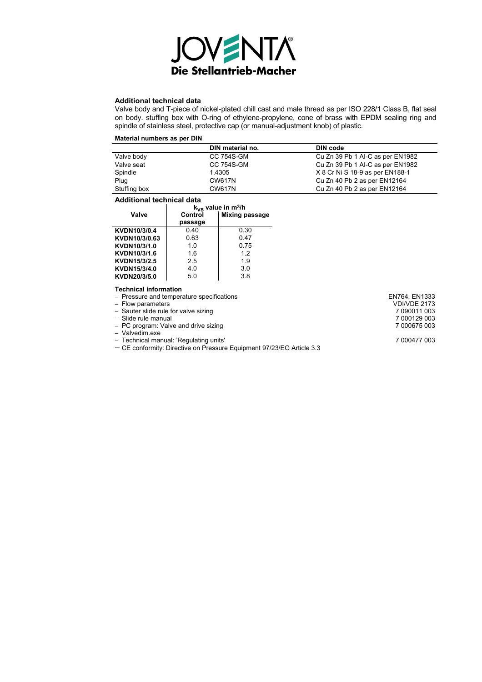

#### **Additional technical data**

Valve body and T-piece of nickel-plated chill cast and male thread as per ISO 228/1 Class B, flat seal on body. stuffing box with O-ring of ethylene-propylene, cone of brass with EPDM sealing ring and spindle of stainless steel, protective cap (or manual-adjustment knob) of plastic.

#### **Material numbers as per DIN**

|              | DIN material no. | DIN code                         |
|--------------|------------------|----------------------------------|
| Valve body   | CC 754S-GM       | Cu Zn 39 Pb 1 Al-C as per EN1982 |
| Valve seat   | CC 754S-GM       | Cu Zn 39 Pb 1 Al-C as per EN1982 |
| Spindle      | 1.4305           | X 8 Cr Ni S 18-9 as per EN188-1  |
| Plug         | CW617N           | Cu Zn 40 Pb 2 as per EN12164     |
| Stuffing box | CW617N           | Cu Zn 40 Pb 2 as per EN12164     |

# **Additional technical data**

|               | $k_{VS}$ value in m <sup>3</sup> /h |                       |  |  |  |
|---------------|-------------------------------------|-----------------------|--|--|--|
| Valve         | Control                             | <b>Mixing passage</b> |  |  |  |
|               | passage                             |                       |  |  |  |
| KVDN10/3/0.4  | 0.40                                | 0.30                  |  |  |  |
| KVDN10/3/0.63 | 0.63                                | 0.47                  |  |  |  |
| KVDN10/3/1.0  | 1 O                                 | 0.75                  |  |  |  |
| KVDN10/3/1.6  | 1.6                                 | 12                    |  |  |  |
| KVDN15/3/2.5  | 2.5                                 | 19                    |  |  |  |
| KVDN15/3/4.0  | 4.0                                 | 3.0                   |  |  |  |
| KVDN20/3/5.0  | 5.0                                 | 3.8                   |  |  |  |

## **Technical information**

− Pressure and temperature specifications<br>
− Pressure and temperature specifications<br>
− Flow parameters VDI/VDE 2173

− Flow parameters <br>
− Sauter slide rule for valve sizing and the state of the state of the Sauter slide rule for valve sizing and the Sauter of the Sauter of the Sauter of the Sauter of the Sauter of the Sauter of the Sau − Sauter slide rule for valve sizing 7 090011 003

− Slide rule manual 7 000129 003

− PC program: Valve and drive sizing 7 000675 003

− Valvedim.exe

− Technical manual: 'Regulating units' 7 000477 003 − CE conformity: Directive on Pressure Equipment 97/23/EG Article 3.3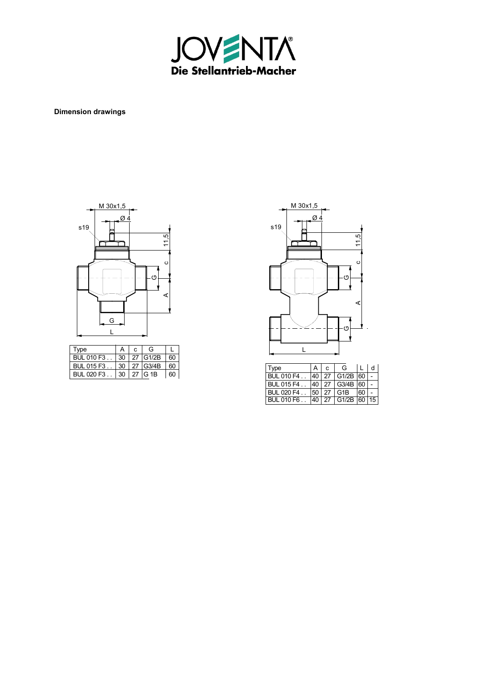

**Dimension drawings** 



| Type                  |  | G           |    |
|-----------------------|--|-------------|----|
| BUL 010 F3            |  | 30 27 G1/2B | 60 |
| BUL 015 F3            |  | 30 27 G3/4B | 60 |
| BUL 020 F3 30 27 G 1B |  |             | 60 |



| ⊺Type              |         | G                         |     |  |
|--------------------|---------|---------------------------|-----|--|
| <b>BUL 010 F4</b>  |         | 40   27   G1/2B   60      |     |  |
| <b>BUL 015 F4</b>  | 40   27 | $\vert$ G3/4B $\vert$ 60  |     |  |
| <b>BUL 020 F4.</b> | 50   27 | G1B                       | -60 |  |
| BUL 010 F6         |         | 40   27   G1/2B   60   15 |     |  |